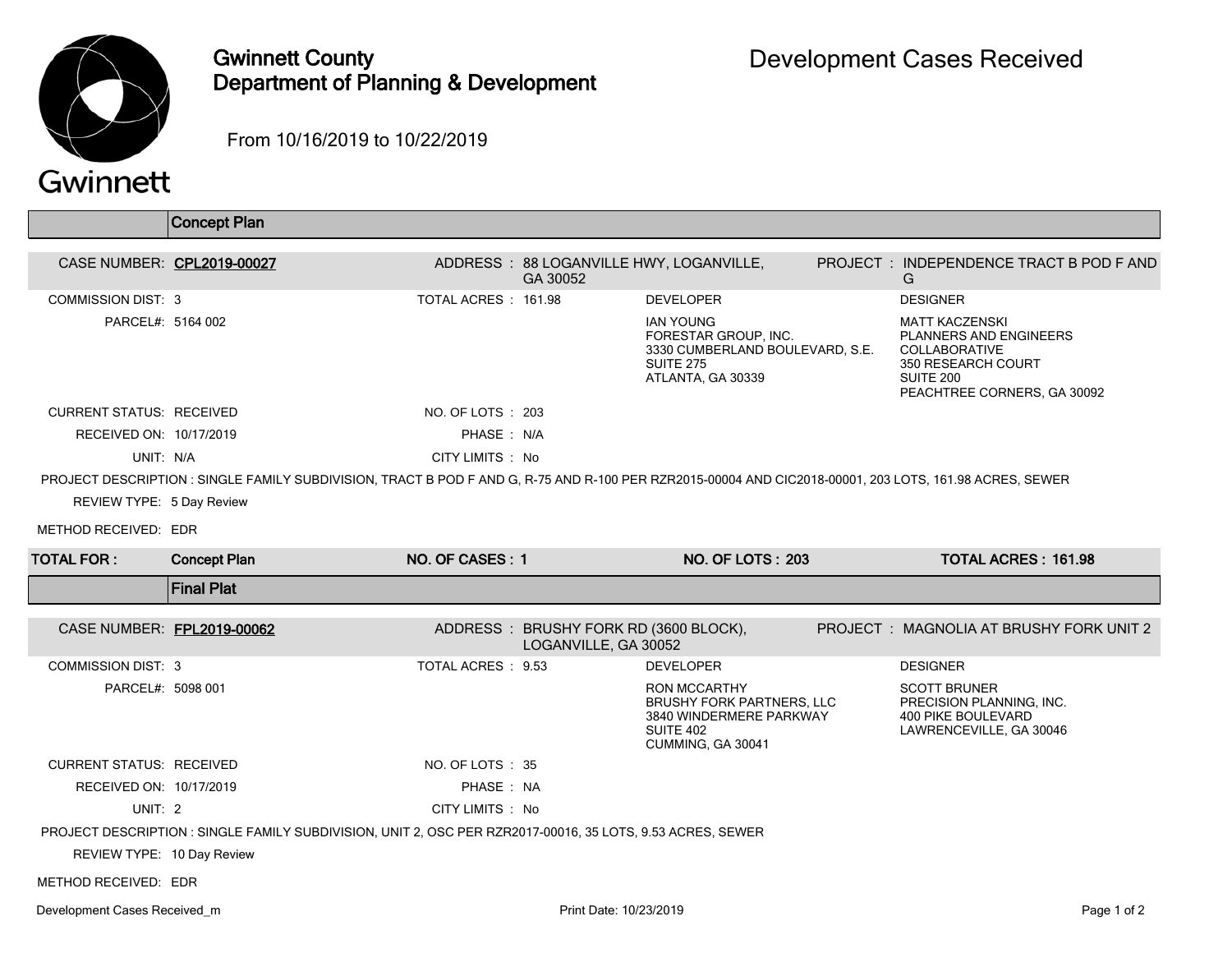

## Gwinnett County Department of Planning & Development

From 10/16/2019 to 10/22/2019

|                                 | <b>Concept Plan</b>                                                                                                                                     |                     |                                                               |                                                                                                                      |                                                                                                                                    |
|---------------------------------|---------------------------------------------------------------------------------------------------------------------------------------------------------|---------------------|---------------------------------------------------------------|----------------------------------------------------------------------------------------------------------------------|------------------------------------------------------------------------------------------------------------------------------------|
|                                 | CASE NUMBER: CPL2019-00027                                                                                                                              |                     | GA 30052                                                      | ADDRESS: 88 LOGANVILLE HWY, LOGANVILLE,                                                                              | PROJECT: INDEPENDENCE TRACT B POD F AND<br>G                                                                                       |
| <b>COMMISSION DIST: 3</b>       |                                                                                                                                                         | TOTAL ACRES: 161.98 |                                                               | <b>DEVELOPER</b>                                                                                                     | <b>DESIGNER</b>                                                                                                                    |
| PARCEL#: 5164 002               |                                                                                                                                                         |                     |                                                               | <b>IAN YOUNG</b><br>FORESTAR GROUP, INC.<br>3330 CUMBERLAND BOULEVARD, S.E.<br><b>SUITE 275</b><br>ATLANTA, GA 30339 | <b>MATT KACZENSKI</b><br>PLANNERS AND ENGINEERS<br>COLLABORATIVE<br>350 RESEARCH COURT<br>SUITE 200<br>PEACHTREE CORNERS, GA 30092 |
| <b>CURRENT STATUS: RECEIVED</b> |                                                                                                                                                         | NO. OF LOTS : 203   |                                                               |                                                                                                                      |                                                                                                                                    |
| RECEIVED ON: 10/17/2019         |                                                                                                                                                         | PHASE: N/A          |                                                               |                                                                                                                      |                                                                                                                                    |
| UNIT: N/A                       |                                                                                                                                                         | CITY LIMITS : No    |                                                               |                                                                                                                      |                                                                                                                                    |
|                                 | PROJECT DESCRIPTION : SINGLE FAMILY SUBDIVISION, TRACT B POD F AND G, R-75 AND R-100 PER RZR2015-00004 AND CIC2018-00001, 203 LOTS, 161.98 ACRES, SEWER |                     |                                                               |                                                                                                                      |                                                                                                                                    |
| REVIEW TYPE: 5 Day Review       |                                                                                                                                                         |                     |                                                               |                                                                                                                      |                                                                                                                                    |
| METHOD RECEIVED: EDR            |                                                                                                                                                         |                     |                                                               |                                                                                                                      |                                                                                                                                    |
| <b>TOTAL FOR:</b>               | <b>Concept Plan</b>                                                                                                                                     | NO. OF CASES: 1     |                                                               | <b>NO. OF LOTS: 203</b>                                                                                              | <b>TOTAL ACRES: 161.98</b>                                                                                                         |
|                                 | <b>Final Plat</b>                                                                                                                                       |                     |                                                               |                                                                                                                      |                                                                                                                                    |
|                                 | CASE NUMBER: FPL2019-00062                                                                                                                              |                     | ADDRESS: BRUSHY FORK RD (3600 BLOCK),<br>LOGANVILLE, GA 30052 |                                                                                                                      | PROJECT: MAGNOLIA AT BRUSHY FORK UNIT 2                                                                                            |
| <b>COMMISSION DIST: 3</b>       |                                                                                                                                                         | TOTAL ACRES : 9.53  |                                                               | <b>DEVELOPER</b>                                                                                                     | <b>DESIGNER</b>                                                                                                                    |
| PARCEL#: 5098 001               |                                                                                                                                                         |                     |                                                               | RON MCCARTHY<br><b>BRUSHY FORK PARTNERS, LLC</b><br>3840 WINDERMERE PARKWAY<br><b>SUITE 402</b><br>CUMMING, GA 30041 | <b>SCOTT BRUNER</b><br>PRECISION PLANNING, INC.<br><b>400 PIKE BOULEVARD</b><br>LAWRENCEVILLE, GA 30046                            |
| <b>CURRENT STATUS: RECEIVED</b> |                                                                                                                                                         | NO. OF LOTS: 35     |                                                               |                                                                                                                      |                                                                                                                                    |
| RECEIVED ON: 10/17/2019         |                                                                                                                                                         | PHASE: NA           |                                                               |                                                                                                                      |                                                                                                                                    |
| UNIT: 2                         |                                                                                                                                                         | CITY LIMITS : No    |                                                               |                                                                                                                      |                                                                                                                                    |
|                                 | PROJECT DESCRIPTION : SINGLE FAMILY SUBDIVISION, UNIT 2, OSC PER RZR2017-00016, 35 LOTS, 9.53 ACRES, SEWER                                              |                     |                                                               |                                                                                                                      |                                                                                                                                    |
| REVIEW TYPE: 10 Day Review      |                                                                                                                                                         |                     |                                                               |                                                                                                                      |                                                                                                                                    |
| METHOD RECEIVED: EDR            |                                                                                                                                                         |                     |                                                               |                                                                                                                      |                                                                                                                                    |
|                                 |                                                                                                                                                         |                     |                                                               |                                                                                                                      |                                                                                                                                    |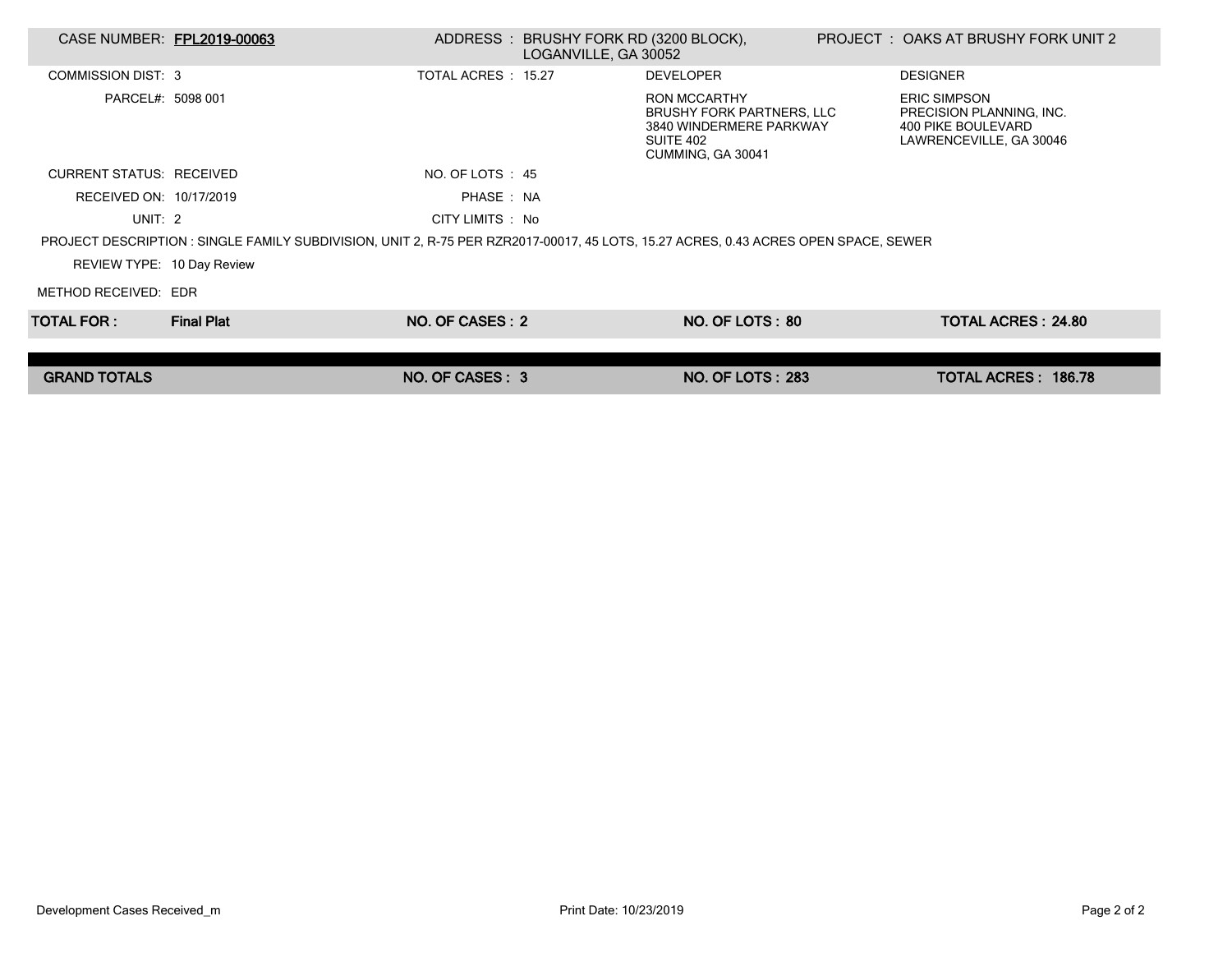| CASE NUMBER: FPL2019-00063                                                                                                          |                   |                     | ADDRESS: BRUSHY FORK RD (3200 BLOCK),<br>LOGANVILLE, GA 30052 |                                                                                                               |  | PROJECT : OAKS AT BRUSHY FORK UNIT 2                                                             |  |  |
|-------------------------------------------------------------------------------------------------------------------------------------|-------------------|---------------------|---------------------------------------------------------------|---------------------------------------------------------------------------------------------------------------|--|--------------------------------------------------------------------------------------------------|--|--|
| COMMISSION DIST: 3                                                                                                                  |                   | TOTAL ACRES : 15.27 |                                                               | <b>DEVELOPER</b>                                                                                              |  | <b>DESIGNER</b>                                                                                  |  |  |
| PARCEL#: 5098 001                                                                                                                   |                   |                     |                                                               | <b>RON MCCARTHY</b><br>BRUSHY FORK PARTNERS, LLC<br>3840 WINDERMERE PARKWAY<br>SUITE 402<br>CUMMING, GA 30041 |  | <b>ERIC SIMPSON</b><br>PRECISION PLANNING, INC.<br>400 PIKE BOULEVARD<br>LAWRENCEVILLE, GA 30046 |  |  |
| <b>CURRENT STATUS: RECEIVED</b>                                                                                                     |                   | NO. OF LOTS : 45    |                                                               |                                                                                                               |  |                                                                                                  |  |  |
| RECEIVED ON: 10/17/2019                                                                                                             |                   | PHASE: NA           |                                                               |                                                                                                               |  |                                                                                                  |  |  |
| UNIT: $2$                                                                                                                           |                   | CITY LIMITS : No    |                                                               |                                                                                                               |  |                                                                                                  |  |  |
| PROJECT DESCRIPTION : SINGLE FAMILY SUBDIVISION, UNIT 2, R-75 PER RZR2017-00017, 45 LOTS, 15.27 ACRES, 0.43 ACRES OPEN SPACE, SEWER |                   |                     |                                                               |                                                                                                               |  |                                                                                                  |  |  |
| REVIEW TYPE: 10 Day Review                                                                                                          |                   |                     |                                                               |                                                                                                               |  |                                                                                                  |  |  |
| METHOD RECEIVED: EDR                                                                                                                |                   |                     |                                                               |                                                                                                               |  |                                                                                                  |  |  |
| TOTAL FOR : I                                                                                                                       | <b>Final Plat</b> | NO. OF CASES: 2     |                                                               | NO. OF LOTS: 80                                                                                               |  | <b>TOTAL ACRES: 24.80</b>                                                                        |  |  |
|                                                                                                                                     |                   |                     |                                                               |                                                                                                               |  |                                                                                                  |  |  |
| <b>GRAND TOTALS</b>                                                                                                                 |                   | NO. OF CASES: 3     |                                                               | <b>NO. OF LOTS: 283</b>                                                                                       |  | TOTAL ACRES: 186.78                                                                              |  |  |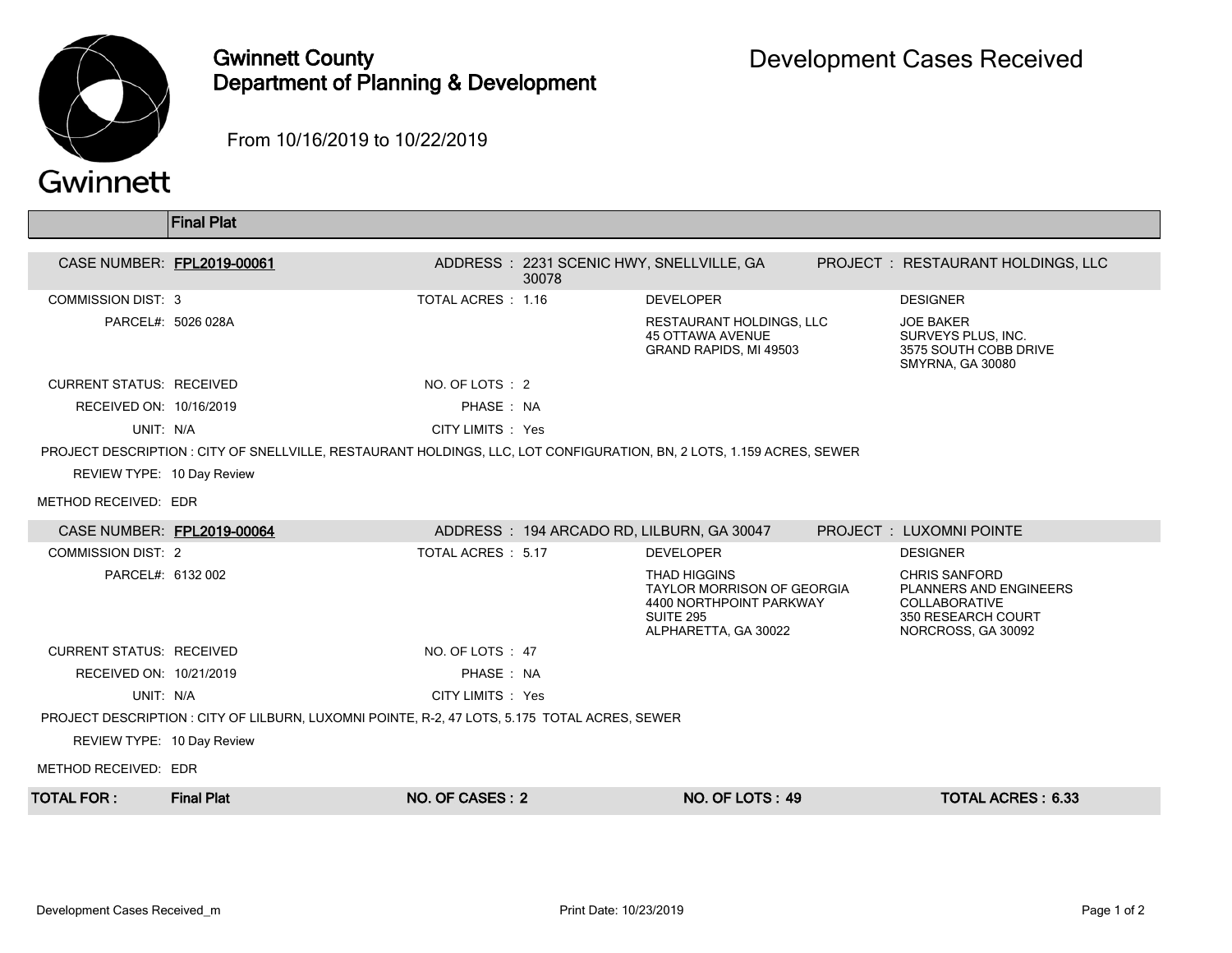

## Gwinnett County Department of Planning & Development

From 10/16/2019 to 10/22/2019

|                                                                                               | <b>Final Plat</b>                                                                                                     |                    |                                                   |                                                                                                                          |  |                                                                                                                    |  |  |
|-----------------------------------------------------------------------------------------------|-----------------------------------------------------------------------------------------------------------------------|--------------------|---------------------------------------------------|--------------------------------------------------------------------------------------------------------------------------|--|--------------------------------------------------------------------------------------------------------------------|--|--|
| CASE NUMBER: FPL2019-00061                                                                    |                                                                                                                       |                    | ADDRESS: 2231 SCENIC HWY, SNELLVILLE, GA<br>30078 |                                                                                                                          |  | PROJECT : RESTAURANT HOLDINGS, LLC                                                                                 |  |  |
| <b>COMMISSION DIST: 3</b>                                                                     |                                                                                                                       | TOTAL ACRES: 1.16  |                                                   | <b>DEVELOPER</b>                                                                                                         |  | <b>DESIGNER</b>                                                                                                    |  |  |
|                                                                                               | PARCEL#: 5026 028A                                                                                                    |                    |                                                   | RESTAURANT HOLDINGS, LLC<br><b>45 OTTAWA AVENUE</b><br>GRAND RAPIDS, MI 49503                                            |  | <b>JOE BAKER</b><br>SURVEYS PLUS, INC.<br>3575 SOUTH COBB DRIVE<br><b>SMYRNA, GA 30080</b>                         |  |  |
| <b>CURRENT STATUS: RECEIVED</b>                                                               |                                                                                                                       | NO. OF LOTS : 2    |                                                   |                                                                                                                          |  |                                                                                                                    |  |  |
| RECEIVED ON: 10/16/2019                                                                       |                                                                                                                       | PHASE: NA          |                                                   |                                                                                                                          |  |                                                                                                                    |  |  |
| UNIT: N/A                                                                                     |                                                                                                                       | CITY LIMITS : Yes  |                                                   |                                                                                                                          |  |                                                                                                                    |  |  |
|                                                                                               | PROJECT DESCRIPTION : CITY OF SNELLVILLE, RESTAURANT HOLDINGS, LLC, LOT CONFIGURATION, BN, 2 LOTS, 1.159 ACRES, SEWER |                    |                                                   |                                                                                                                          |  |                                                                                                                    |  |  |
| REVIEW TYPE: 10 Day Review                                                                    |                                                                                                                       |                    |                                                   |                                                                                                                          |  |                                                                                                                    |  |  |
| METHOD RECEIVED: EDR                                                                          |                                                                                                                       |                    |                                                   |                                                                                                                          |  |                                                                                                                    |  |  |
| CASE NUMBER: FPL2019-00064                                                                    |                                                                                                                       |                    |                                                   | ADDRESS: 194 ARCADO RD, LILBURN, GA 30047                                                                                |  | PROJECT : LUXOMNI POINTE                                                                                           |  |  |
| <b>COMMISSION DIST: 2</b>                                                                     |                                                                                                                       | TOTAL ACRES : 5.17 |                                                   | <b>DEVELOPER</b>                                                                                                         |  | <b>DESIGNER</b>                                                                                                    |  |  |
| PARCEL#: 6132 002                                                                             |                                                                                                                       |                    |                                                   | <b>THAD HIGGINS</b><br><b>TAYLOR MORRISON OF GEORGIA</b><br>4400 NORTHPOINT PARKWAY<br>SUITE 295<br>ALPHARETTA, GA 30022 |  | <b>CHRIS SANFORD</b><br>PLANNERS AND ENGINEERS<br><b>COLLABORATIVE</b><br>350 RESEARCH COURT<br>NORCROSS, GA 30092 |  |  |
| <b>CURRENT STATUS: RECEIVED</b>                                                               |                                                                                                                       | NO. OF LOTS: 47    |                                                   |                                                                                                                          |  |                                                                                                                    |  |  |
| RECEIVED ON: 10/21/2019                                                                       |                                                                                                                       | PHASE: NA          |                                                   |                                                                                                                          |  |                                                                                                                    |  |  |
| UNIT: N/A                                                                                     |                                                                                                                       | CITY LIMITS : Yes  |                                                   |                                                                                                                          |  |                                                                                                                    |  |  |
| PROJECT DESCRIPTION : CITY OF LILBURN, LUXOMNI POINTE, R-2, 47 LOTS, 5.175 TOTAL ACRES, SEWER |                                                                                                                       |                    |                                                   |                                                                                                                          |  |                                                                                                                    |  |  |
| REVIEW TYPE: 10 Day Review                                                                    |                                                                                                                       |                    |                                                   |                                                                                                                          |  |                                                                                                                    |  |  |
| METHOD RECEIVED: EDR                                                                          |                                                                                                                       |                    |                                                   |                                                                                                                          |  |                                                                                                                    |  |  |
| <b>TOTAL FOR :</b>                                                                            | <b>Final Plat</b>                                                                                                     | NO. OF CASES: 2    |                                                   | NO. OF LOTS: 49                                                                                                          |  | <b>TOTAL ACRES: 6.33</b>                                                                                           |  |  |